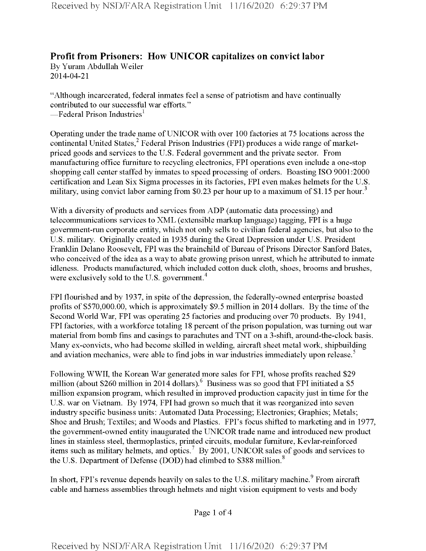## **Profit from Prisoners: How UNICOR capitalizes on convict labor** By Yuram Abdullah Weiler

2014-04-21

"Although incarcerated, federal inmates feel a sense of patriotism and have continually contributed to our successful war efforts." —Federal Prison Industries $^{\rm l}$ 

Operating under the trade name ofUNICOR with over 100 factories at 75 locations across the continental United States,<sup>2</sup> Federal Prison Industries (FPI) produces a wide range of marketpriced goods and services to the U.S. Federal government and the private sector. From manufacturing office furniture to recycling electronics, FPI operations even include a one-stop shopping call center staffed by inmates to speed processing of orders. Boasting ISO 9001:2000 certification and Lean Six Sigma processes in its factories, FPI even makes helmets for the U.S. military, using convict labor earning from \$0.23 per hour up to a maximum of \$1.15 per hour.<sup>3</sup>

With a diversity of products and services from ADP (automatic data processing) and telecommunications services to XML (extensible markup language) tagging, FPI is a huge government-run corporate entity, which not only sells to civilian federal agencies, but also to the U.S. military. Originally created in 1935 during the Great Depression under U.S. President Franklin Delano Roosevelt, FPI was the brainchild of Bureau of Prisons Director Sanford Bates, who conceived of the idea as a way to abate growing prison unrest, which he attributed to inmate idleness. Products manufactured, which included cotton duck cloth, shoes, brooms and brushes, were exclusively sold to the U.S. government.<sup>4</sup>

FPI flourished and by 1937, in spite of the depression, the federally-owned enterprise boasted profits of \$570,000.00, which is approximately \$9.5 million in 2014 dollars. By the time of the Second World War, FPI was operating 25 factories and producing over 70 products. By 1941, FPI factories, with a workforce totaling 18 percent of the prison population, was turning out war material from bomb fins and casings to parachutes and TNT on a 3-shift, around-the-clock basis. Many ex-convicts, who had become skilled in welding, aircraft sheet metal work, shipbuilding and aviation mechanics, were able to find jobs in war industries immediately upon release.<sup>5</sup>

Following WWII, the Korean War generated more sales for FPI, whose profits reached \$29 million (about \$260 million in 2014 dollars). <sup>6</sup> Business was so good that FPI initiated a \$5 million expansion program, which resulted in improved production capacity just in time for the U.S. war on Vietnam. By 1974, FPI had grown so much that it was reorganized into seven industry specific business units: Automated Data Processing; Electronics; Graphics; Metals; Shoe and Brush; Textiles; and Woods and Plastics. FPI's focus shifted to marketing and in 1977, the government-owned entity inaugurated the UNICOR trade name and introduced new product lines in stainless steel, thermoplastics, printed circuits, modular furniture, Kevlar-reinforced items such as military helmets, and optics.7 By 2001, UNICOR sales of goods and services to the U.S. Department of Defense (DOD) had climbed to  $$388$  million.<sup>8</sup>

In short, FPI's revenue depends heavily on sales to the U.S. military machine.<sup>9</sup> From aircraft cable and harness assemblies through helmets and night vision equipment to vests and body

Page <sup>1</sup> of 4

**Received by NSD/FARA Registration Unit 11/16/2020 6:29:37 PM**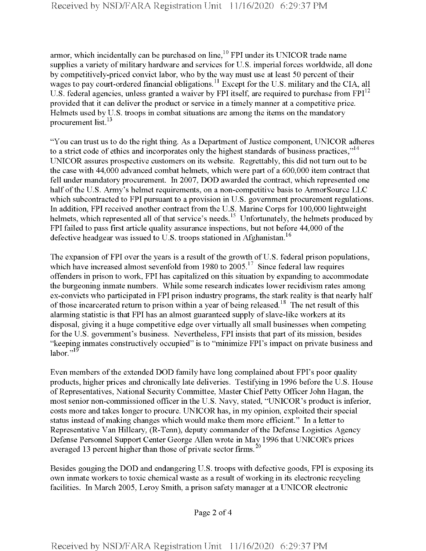armor, which incidentally can be purchased on line,<sup>10</sup> FPI under its UNICOR trade name supplies a variety of military hardware and services for U.S. imperial forces worldwide, all done by competitively-priced convict labor, who by the way must use at least 50 percent of their wages to pay court-ordered financial obligations.<sup>11</sup> Except for the U.S. military and the CIA, all U.S. federal agencies, unless granted a waiver by FPI itself, are required to purchase from  $FPI<sup>12</sup>$ provided that it can deliver the product or service in a timely manner at a competitive price. Helmets used by U.S. troops in combat situations are among the items on the mandatory procurement list.<sup>13</sup>

"You can trust us to do the right thing. As a Department of Justice component, UNICOR adheres to a strict code of ethics and incorporates only the highest standards of business practices,"<sup>14</sup> UNICOR assures prospective customers on its website. Regrettably, this did not turn out to be the case with 44,000 advanced combat helmets, which were part of a 600,000 item contract that fell under mandatory procurement. In 2007, DOD awarded the contract, which represented one half of the U.S. Army's helmet requirements, on a non-competitive basis to ArmorSource LLC which subcontracted to FPI pursuant to a provision in U.S. government procurement regulations. In addition, FPI received another contract from the U.S. Marine Corps for 100,000 lightweight helmets, which represented all of that service's needs.<sup>15</sup> Unfortunately, the helmets produced by FPI failed to pass first article quality assurance inspections, but not before 44,000 of the defective headgear was issued to U.S. troops stationed in Afghanistan.<sup>16</sup>

The expansion of FPI over the years is a result of the growth of U.S. federal prison populations, which have increased almost sevenfold from 1980 to  $2005$ <sup>17</sup> Since federal law requires offenders in prison to work, FPI has capitalized on this situation by expanding to accommodate the burgeoning inmate numbers. While some research indicates lower recidivism rates among ex-convicts who participated in FPI prison industry programs, the stark reality is that nearly half of those incarcerated return to prison within a year of being released.<sup>18</sup> The net result of this alarming statistic is that FPI has an almost guaranteed supply of slave-like workers at its disposal, giving it a huge competitive edge over virtually all small businesses when competing for the U.S. government's business. Nevertheless, FPI insists that part of its mission, besides "keeping inmates constructively occupied" is to "minimize FPI's impact on private business and labor." $^{19}$ 

Even members of the extended DOD family have long complained about FPI's poor quality products, higher prices and chronically late deliveries. Testifying in 1996 before the U.S. House ofRepresentatives, National Security Committee, Master Chief Petty Officer John Hagan, the most senior non-commissioned officer in the U.S. Navy, stated, "UNICOR's product is inferior, costs more and takes longer to procure. UNICOR has, in my opinion, exploited their special status instead ofmaking changes which would make them more efficient." In a letter to Representative Van Hilleary, (R-Tenn), deputy commander of the Defense Logistics Agency Defense Personnel Support Center George Allen wrote in May 1996 that UNICOR's prices averaged 13 percent higher than those of private sector firms.<sup>20</sup>

Besides gouging the DOD and endangering U.S. troops with defective goods, FPI is exposing its own inmate workers to toxic chemical waste as a result ofworking in its electronic recycling facilities. In March 2005, Leroy Smith, a prison safety manager at a UNICOR electronic

Page 2 of 4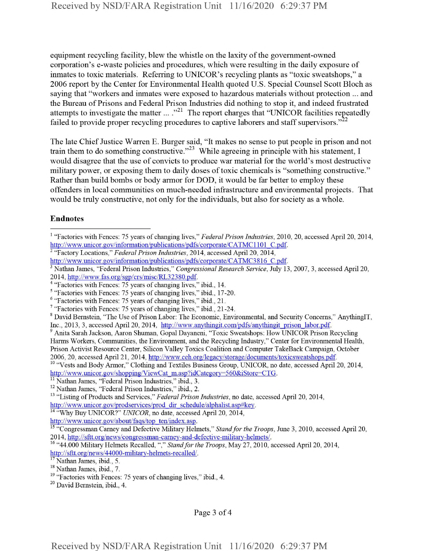equipment recycling facility, blew the whistle on the laxity of the government-owned corporation's e-waste policies and procedures, which were resulting in the daily exposure of inmates to toxic materials. Referring to UNICOR's recycling plants as "toxic sweatshops," a 2006 report by the Center for Environmental Health quoted U.S. Special Counsel Scott Bloch as saying that "workers and inmates were exposed to hazardous materials without protection ... and the Bureau of Prisons and Federal Prison Industries did nothing to stop it, and indeed frustrated attempts to investigate the matter ... ."<sup>21</sup> The report charges that "UNICOR facilities repeatedly failed to provide proper recycling procedures to captive laborers and staff supervisors."<sup>22</sup>

The late Chief Justice Warren E. Burger said, "It makes no sense to put people in prison and not train them to do something constructive."<sup>23</sup> While agreeing in principle with his statement, I would disagree that the use of convicts to produce war material for the world's most destructive military power, or exposing them to daily doses of toxic chemicals is "something constructive." Rather than build bombs or body armor for DOD, it would be far better to employ these offenders in local communities on much-needed infrastructure and environmental projects. That would be truly constructive, not only for the individuals, but also for society as a whole.

## **Endnotes**

<sup>1</sup> "Factories with Fences: 75 years of changing lives," *Federal Prison Industries,* 2010, 20, accessed April 20, 2014, http://www.unicor.gov/information/publications/pdfs/corporate/CATMC1101 C.pdf.

http://www.unicor.gov/about/faqs/top ten/index.asp.

<sup>2</sup> "Factory Locations," *Federal Prison Industries,* 2014, accessed April 20, 2014,

http://www.unicor.gov/information/publications/pdfs/corporate/CATMC3816 C.pdf.

<sup>3</sup> Nathan James, "Federal Prison Industries," *Congressional Research Sernice,* July 13, 2007, 3, accessed April 20, 2014, http://wwrv.fas.org/sgp/crs/misc/RL32380.pdf.

<sup>&</sup>lt;sup>4</sup> "Factories with Fences: 75 years of changing lives," ibid., 14.

<sup>5</sup> "Factories with Fences: 75 years of changing lives," ibid., 17-20.

<sup>&</sup>lt;sup>6</sup> "Factories with Fences: 75 years of changing lives," ibid., 21.

<sup>7</sup> "Factories with Fences: 75 years of changing lives," ibid., 21-24.

<sup>&</sup>lt;sup>8</sup> David Bernstein, "The Use of Prison Labor: The Economic, Environmental, and Security Concerns," AnythingIT, Inc., 2013, 3, accessed April 20, 2014, http://www.anythingit.com/pdfs/anythingit\_prison\_labor.pdf.

<sup>&</sup>lt;sup>9</sup> Anita Sarah Jackson, Aaron Shuman, Gopal Dayaneni, "Toxic Sweatshops: How UNICOR Prison Recycling Harms Workers, Communities, the Environment, and the Recycling Industry," Center for Environmental Health, Prison Activist Resource Center, Silicon Valley Toxics Coalition and Computer TakeBack Campaign, October 2006, 20, accessed April 21, 2014, http://www.ceh.org/legacv/storage/documents/toxicsweatshops.pdf

<sup>&</sup>lt;sup>10</sup> "Vests and Body Armor," Clothing and Textiles Business Group, UNICOR, no date, accessed April 20, 2014, http://www.unicor.gov/shopping/ViewCat\_m.asp?idCategory=560&iStore=CTG.

<sup>&</sup>lt;sup>11</sup> Nathan James, "Federal Prison Industries," ibid., 3.

<sup>12</sup> Nathan James, "Federal Prison Industries," ibid., 2.

<sup>&</sup>lt;sup>13</sup> "Listing of Products and Services," *Federal Prison Industries*, no date, accessed April 20, 2014, http://www.unicor.gov/prodservices/prod dir schedule/alphahst.asp#key.

<sup>14</sup> "Why Buy UNICOR?" *UNICOR,* no date, accessed April 20, 2014,

<sup>&</sup>lt;sup>15</sup> "Congressman Carney and Defective Military Helmets," *Stand for the Troops*, June 3, 2010, accessed April 20, 2014, http://sftt.org/mews/congressman-camev-and-defective-militarv-helmets/.

<sup>&</sup>lt;sup>16</sup> "44.000 Military Helmets Recalled, "," *Stand for the Troops*, May 27, 2010, accessed April 20, 2014, http://sftt.org/news/44000-militarv-helmets-recalled/.

Nathan James, ibid., 5.

<sup>&</sup>lt;sup>18</sup> Nathan James, ibid., 7.

 $19$  "Factories with Fences: 75 years of changing lives," ibid., 4.

<sup>&</sup>lt;sup>20</sup> David Bernstein, ibid., 4.